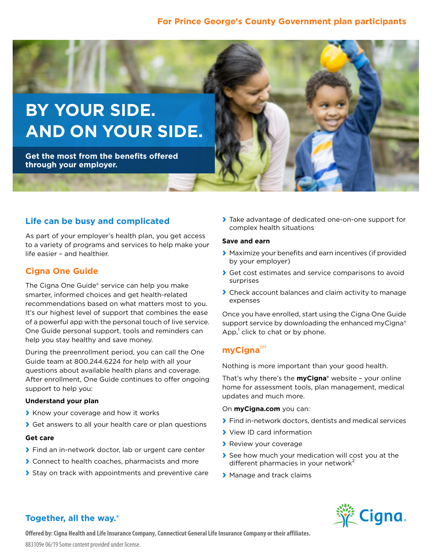### **For Prince George's County Government plan participants**



## **Life can be busy and complicated**

As part of your employer's health plan, you get access to a variety of programs and services to help make your life easier – and healthier.

### **Cigna One Guide**

The Cigna One Guide® service can help you make smarter, informed choices and get health-related recommendations based on what matters most to you. It's our highest level of support that combines the ease of a powerful app with the personal touch of live service. One Guide personal support, tools and reminders can help you stay healthy and save money.

During the preenrollment period, you can call the One Guide team at 800.244.6224 for help with all your questions about available health plans and coverage. After enrollment, One Guide continues to offer ongoing support to help you:

#### **Understand your plan**

- **›** Know your coverage and how it works
- **›** Get answers to all your health care or plan questions

#### **Get care**

- **›** Find an in-network doctor, lab or urgent care center
- **›** Connect to health coaches, pharmacists and more
- **›** Stay on track with appointments and preventive care

**›** Take advantage of dedicated one-on-one support for complex health situations

#### **Save and earn**

- **›** Maximize your benefits and earn incentives (if provided by your employer)
- **›** Get cost estimates and service comparisons to avoid surprises
- **›** Check account balances and claim activity to manage expenses

Once you have enrolled, start using the Cigna One Guide support service by downloading the enhanced myCigna® App, $^1$  click to chat or by phone.

### **myCigna**SM

Nothing is more important than your good health.

That's why there's the **myCigna®** website – your online home for assessment tools, plan management, medical updates and much more.

On **myCigna.com** you can:

- **›** Find in-network doctors, dentists and medical services
- **›** View ID card information
- **›** Review your coverage
- **›** See how much your medication will cost you at the different pharmacies in your network<sup>2</sup>
- **›** Manage and track claims



## **Together, all the way.®**

**Offered by: Cigna Health and Life Insurance Company, Connecticut General Life Insurance Company or their affiliates.**

883109e 06/19 Some content provided under license.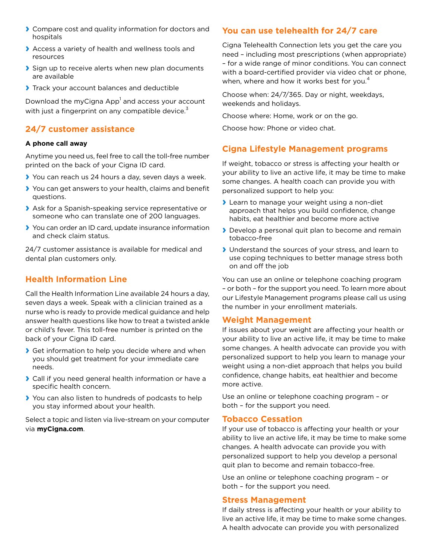- **›** Compare cost and quality information for doctors and hospitals
- **›** Access a variety of health and wellness tools and resources
- **›** Sign up to receive alerts when new plan documents are available
- **›** Track your account balances and deductible

Download the myCigna App $^{\rm l}$  and access your account with just a fingerprint on any compatible device.<sup>3</sup>

## **24/7 customer assistance**

#### **A phone call away**

Anytime you need us, feel free to call the toll-free number printed on the back of your Cigna ID card.

- **›** You can reach us 24 hours a day, seven days a week.
- **›** You can get answers to your health, claims and benefit questions.
- **›** Ask for a Spanish-speaking service representative or someone who can translate one of 200 languages.
- **›** You can order an ID card, update insurance information and check claim status.

24/7 customer assistance is available for medical and dental plan customers only.

## **Health Information Line**

Call the Health Information Line available 24 hours a day, seven days a week. Speak with a clinician trained as a nurse who is ready to provide medical guidance and help answer health questions like how to treat a twisted ankle or child's fever. This toll-free number is printed on the back of your Cigna ID card.

- **›** Get information to help you decide where and when you should get treatment for your immediate care needs.
- **›** Call if you need general health information or have a specific health concern.
- **›** You can also listen to hundreds of podcasts to help you stay informed about your health.

Select a topic and listen via live-stream on your computer via **myCigna.com**.

### **You can use telehealth for 24/7 care**

Cigna Telehealth Connection lets you get the care you need – including most prescriptions (when appropriate) – for a wide range of minor conditions. You can connect with a board-certified provider via video chat or phone, when, where and how it works best for you.<sup>4</sup>

Choose when: 24/7/365. Day or night, weekdays, weekends and holidays.

Choose where: Home, work or on the go.

Choose how: Phone or video chat.

### **Cigna Lifestyle Management programs**

If weight, tobacco or stress is affecting your health or your ability to live an active life, it may be time to make some changes. A health coach can provide you with personalized support to help you:

- **›** Learn to manage your weight using a non-diet approach that helps you build confidence, change habits, eat healthier and become more active
- **›** Develop a personal quit plan to become and remain tobacco-free
- **›** Understand the sources of your stress, and learn to use coping techniques to better manage stress both on and off the job

You can use an online or telephone coaching program – or both – for the support you need. To learn more about our Lifestyle Management programs please call us using the number in your enrollment materials.

#### **Weight Management**

If issues about your weight are affecting your health or your ability to live an active life, it may be time to make some changes. A health advocate can provide you with personalized support to help you learn to manage your weight using a non-diet approach that helps you build confidence, change habits, eat healthier and become more active.

Use an online or telephone coaching program – or both – for the support you need.

#### **Tobacco Cessation**

If your use of tobacco is affecting your health or your ability to live an active life, it may be time to make some changes. A health advocate can provide you with personalized support to help you develop a personal quit plan to become and remain tobacco-free.

Use an online or telephone coaching program – or both – for the support you need.

#### **Stress Management**

If daily stress is affecting your health or your ability to live an active life, it may be time to make some changes. A health advocate can provide you with personalized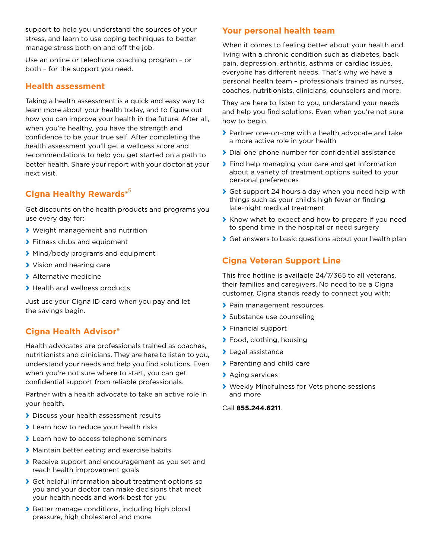support to help you understand the sources of your stress, and learn to use coping techniques to better manage stress both on and off the job.

Use an online or telephone coaching program – or both – for the support you need.

#### **Health assessment**

Taking a health assessment is a quick and easy way to learn more about your health today, and to figure out how you can improve your health in the future. After all, when you're healthy, you have the strength and confidence to be your true self. After completing the health assessment you'll get a wellness score and recommendations to help you get started on a path to better health. Share your report with your doctor at your next visit.

# **Cigna Healthy Rewards®** 5

Get discounts on the health products and programs you use every day for:

- **›** Weight management and nutrition
- **›** Fitness clubs and equipment
- **›** Mind/body programs and equipment
- **›** Vision and hearing care
- **›** Alternative medicine
- **›** Health and wellness products

Just use your Cigna ID card when you pay and let the savings begin.

## **Cigna Health Advisor®**

Health advocates are professionals trained as coaches, nutritionists and clinicians. They are here to listen to you, understand your needs and help you find solutions. Even when you're not sure where to start, you can get confidential support from reliable professionals.

Partner with a health advocate to take an active role in your health.

- **›** Discuss your health assessment results
- **›** Learn how to reduce your health risks
- **›** Learn how to access telephone seminars
- **›** Maintain better eating and exercise habits
- **›** Receive support and encouragement as you set and reach health improvement goals
- **›** Get helpful information about treatment options so you and your doctor can make decisions that meet your health needs and work best for you
- **›** Better manage conditions, including high blood pressure, high cholesterol and more

### **Your personal health team**

When it comes to feeling better about your health and living with a chronic condition such as diabetes, back pain, depression, arthritis, asthma or cardiac issues, everyone has different needs. That's why we have a personal health team – professionals trained as nurses, coaches, nutritionists, clinicians, counselors and more.

They are here to listen to you, understand your needs and help you find solutions. Even when you're not sure how to begin.

- **›** Partner one-on-one with a health advocate and take a more active role in your health
- **›** Dial one phone number for confidential assistance
- **›** Find help managing your care and get information about a variety of treatment options suited to your personal preferences
- **›** Get support 24 hours a day when you need help with things such as your child's high fever or finding late-night medical treatment
- **›** Know what to expect and how to prepare if you need to spend time in the hospital or need surgery
- **›** Get answers to basic questions about your health plan

## **Cigna Veteran Support Line**

This free hotline is available 24/7/365 to all veterans, their families and caregivers. No need to be a Cigna customer. Cigna stands ready to connect you with:

- **›** Pain management resources
- **›** Substance use counseling
- **›** Financial support
- **›** Food, clothing, housing
- **›** Legal assistance
- **›** Parenting and child care
- **›** Aging services
- **›** Weekly Mindfulness for Vets phone sessions and more

Call **855.244.6211**.